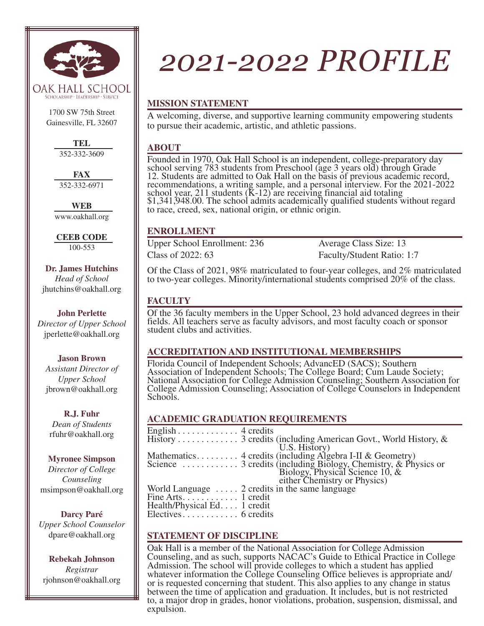

1700 SW 75th Street Gainesville, FL 32607

> **TEL** 352-332-3609

**FAX** 352-332-6971

**WEB** www.oakhall.org

**CEEB CODE** 100-553

**Dr. James Hutchins**  *Head of School* jhutchins@oakhall.org

**John Perlette**  *Director of Upper School* jperlette@oakhall.org

**Jason Brown**  *Assistant Director of Upper School* jbrown@oakhall.org

**R.J. Fuhr** *Dean of Students* rfuhr@oakhall.org

**Myronee Simpson** *Director of College Counseling* msimpson@oakhall.org

**Darcy Paré**  *Upper School Counselor* dpare@oakhall.org

**Rebekah Johnson**  *Registrar*  rjohnson@oakhall.org

# *2021-2022 PROFILE*

# **MISSION STATEMENT**

A welcoming, diverse, and supportive learning community empowering students to pursue their academic, artistic, and athletic passions.

## **ABOUT**

Founded in 1970, Oak Hall School is an independent, college-preparatory day school serving 783 students from Preschool (age 3 years old) through Grade 12. Students are admitted to Oak Hall on the basis of previous academic record, recommendations, a writing sample, and a personal interview. For the 2021-2022 school year, 211 students  $(K-12)$  are receiving financial aid totaling \$1,341,948.00. The school admits academically qualified students without regard to race, creed, sex, national origin, or ethnic origin.

# **ENROLLMENT**

Upper School Enrollment: 236 Average Class Size: 13 Class of 2022: 63 Faculty/Student Ratio: 1:7

Of the Class of 2021, 98% matriculated to four-year colleges, and 2% matriculated to two-year colleges. Minority/international students comprised 20% of the class.

# **FACULTY**

Of the 36 faculty members in the Upper School, 23 hold advanced degrees in their fields. All teachers serve as faculty advisors, and most faculty coach or sponsor student clubs and activities.

# **ACCREDITATION AND INSTITUTIONAL MEMBERSHIPS**

Florida Council of Independent Schools; AdvancED (SACS); Southern Association of Independent Schools; The College Board; Cum Laude Society; National Association for College Admission Counseling; Southern Association for College Admission Counseling; Association of College Counselors in Independent Schools.

# **ACADEMIC GRADUATION REQUIREMENTS**

| English 4 credits                                     |                                                                    |
|-------------------------------------------------------|--------------------------------------------------------------------|
|                                                       | History 3 credits (including American Govt., World History, $\&$   |
|                                                       | U.S. History)                                                      |
|                                                       | Mathematics 4 credits (including Algebra I-II & Geometry)          |
|                                                       |                                                                    |
|                                                       | Biology, Physical Science $10$ , $\&$ either Chemistry or Physics) |
|                                                       |                                                                    |
| World Language $\dots$ 2 credits in the same language |                                                                    |
| Fine Arts. $\dots$ $\dots$ 1 credit                   |                                                                    |
| Health/Physical Ed. 1 credit                          |                                                                    |
| $Electives \ldots \ldots \ldots \ldots 6$ credits     |                                                                    |
|                                                       |                                                                    |

# **STATEMENT OF DISCIPLINE**

Oak Hall is a member of the National Association for College Admission Counseling, and as such, supports NACAC's Guide to Ethical Practice in College Admission. The school will provide colleges to which a student has applied whatever information the College Counseling Office believes is appropriate and/ or is requested concerning that student. This also applies to any change in status between the time of application and graduation. It includes, but is not restricted to, a major drop in grades, honor violations, probation, suspension, dismissal, and expulsion.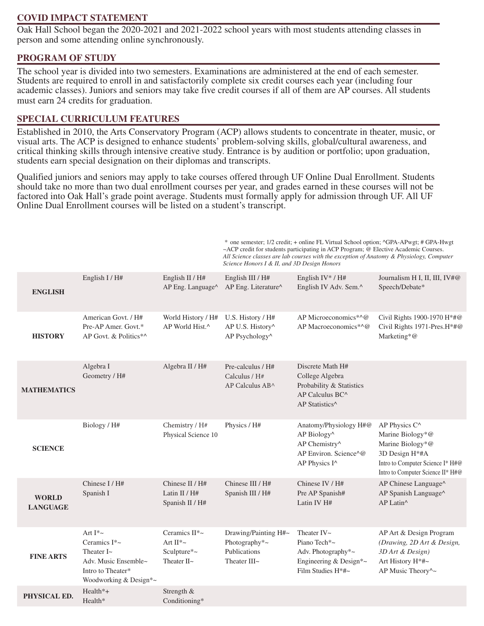## **COVID IMPACT STATEMENT**

Oak Hall School began the 2020-2021 and 2021-2022 school years with most students attending classes in person and some attending online synchronously.

## **PROGRAM OF STUDY**

The school year is divided into two semesters. Examinations are administered at the end of each semester. Students are required to enroll in and satisfactorily complete six credit courses each year (including four academic classes). Juniors and seniors may take five credit courses if all of them are AP courses. All students must earn 24 credits for graduation.

## **SPECIAL CURRICULUM FEATURES**

Established in 2010, the Arts Conservatory Program (ACP) allows students to concentrate in theater, music, or visual arts. The ACP is designed to enhance students' problem-solving skills, global/cultural awareness, and critical thinking skills through intensive creative study. Entrance is by audition or portfolio; upon graduation, students earn special designation on their diplomas and transcripts.

Qualified juniors and seniors may apply to take courses offered through UF Online Dual Enrollment. Students should take no more than two dual enrollment courses per year, and grades earned in these courses will not be factored into Oak Hall's grade point average. Students must formally apply for admission through UF. All UF Online Dual Enrollment courses will be listed on a student's transcript.

|                                 |                                                                                                                       |                                                                       | Science Honors I & II, and 3D Design Honors                           | * one semester; 1/2 credit; + online FL Virtual School option; ^GPA-APwgt; # GPA-Hwgt<br>~ACP credit for students participating in ACP Program; @ Elective Academic Courses.<br>All Science classes are lab courses with the exception of Anatomy & Physiology, Computer |                                                                                                                                                              |
|---------------------------------|-----------------------------------------------------------------------------------------------------------------------|-----------------------------------------------------------------------|-----------------------------------------------------------------------|--------------------------------------------------------------------------------------------------------------------------------------------------------------------------------------------------------------------------------------------------------------------------|--------------------------------------------------------------------------------------------------------------------------------------------------------------|
| <b>ENGLISH</b>                  | English I / H#                                                                                                        | English II / H#<br>AP Eng. Language^                                  | English III / H#<br>AP Eng. Literature^                               | English IV* / $H#$<br>English IV Adv. Sem.^                                                                                                                                                                                                                              | Journalism H I, II, III, IV#@<br>Speech/Debate*                                                                                                              |
| <b>HISTORY</b>                  | American Govt. / H#<br>Pre-AP Amer. Govt.*<br>AP Govt. & Politics*^                                                   | World History / H#<br>AP World Hist.^                                 | U.S. History / H#<br>AP U.S. History^<br>AP Psychology^               | AP Microeconomics*^@<br>AP Macroeconomics*^@                                                                                                                                                                                                                             | Civil Rights 1900-1970 H*#@<br>Civil Rights 1971-Pres.H*#@<br>Marketing*@                                                                                    |
| <b>MATHEMATICS</b>              | Algebra I<br>Geometry / H#                                                                                            | Algebra II / H#                                                       | Pre-calculus / H#<br>Calculus / H#<br>AP Calculus AB^                 | Discrete Math H#<br>College Algebra<br>Probability & Statistics<br>$AP$ Calculus $BC^{\wedge}$<br>AP Statistics <sup>^</sup>                                                                                                                                             |                                                                                                                                                              |
| <b>SCIENCE</b>                  | Biology / H#                                                                                                          | Chemistry / H#<br>Physical Science 10                                 | Physics / H#                                                          | Anatomy/Physiology H#@<br>AP Biology^<br>AP Chemistry^<br>AP Environ, Science^@<br>AP Physics I^                                                                                                                                                                         | AP Physics C <sup>^</sup><br>Marine Biology*@<br>Marine Biology*@<br>3D Design H*#A<br>Intro to Computer Science I* H#@<br>Intro to Computer Science II* H#@ |
| <b>WORLD</b><br><b>LANGUAGE</b> | Chinese I/H#<br>Spanish I                                                                                             | Chinese II / H#<br>Latin II / H#<br>Spanish II / H#                   | Chinese III / H#<br>Spanish III / H#                                  | Chinese IV / H#<br>Pre AP Spanish#<br>Latin IV H#                                                                                                                                                                                                                        | AP Chinese Language^<br>AP Spanish Language^<br>AP Latin^                                                                                                    |
| <b>FINE ARTS</b>                | Art $I^*$ ~<br>Ceramics I*~<br>Theater $I\sim$<br>Adv. Music Ensemble~<br>Intro to Theater*<br>Woodworking & Design*~ | Ceramics $II^*$ ~<br>Art $II^*$ ~<br>Sculpture*~<br>Theater $II \sim$ | Drawing/Painting H#~<br>Photography*~<br>Publications<br>Theater III~ | Theater $IV \sim$<br>Piano Tech*~<br>Adv. Photography*~<br>Engineering & Design*~<br>Film Studies H*#~                                                                                                                                                                   | AP Art & Design Program<br>(Drawing, 2D Art & Design,<br>3D Art & Design)<br>Art History H*#~<br>AP Music Theory^~                                           |
| PHYSICAL ED.                    | Health*+<br>Health*                                                                                                   | Strength &<br>Conditioning*                                           |                                                                       |                                                                                                                                                                                                                                                                          |                                                                                                                                                              |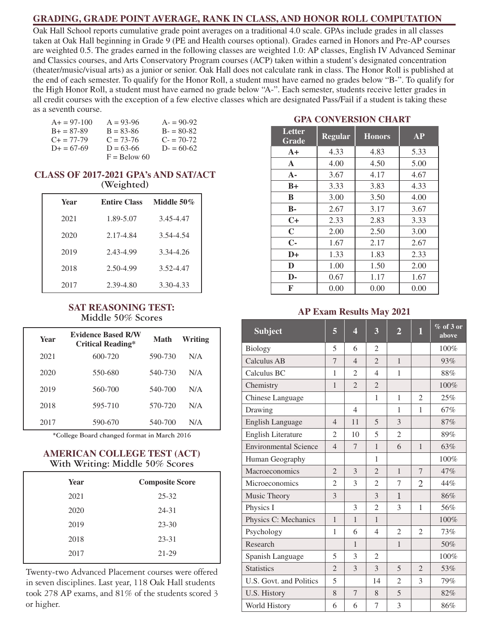## **GRADING, GRADE POINT AVERAGE, RANK IN CLASS, AND HONOR ROLL COMPUTATION**

Oak Hall School reports cumulative grade point averages on a traditional 4.0 scale. GPAs include grades in all classes taken at Oak Hall beginning in Grade 9 (PE and Health courses optional). Grades earned in Honors and Pre-AP courses are weighted 0.5. The grades earned in the following classes are weighted 1.0: AP classes, English IV Advanced Seminar and Classics courses, and Arts Conservatory Program courses (ACP) taken within a student's designated concentration (theater/music/visual arts) as a junior or senior. Oak Hall does not calculate rank in class. The Honor Roll is published at the end of each semester. To qualify for the Honor Roll, a student must have earned no grades below "B-". To qualify for the High Honor Roll, a student must have earned no grade below "A-". Each semester, students receive letter grades in all credit courses with the exception of a few elective classes which are designated Pass/Fail if a student is taking these as a seventh course.

| $A+=97-100$         | $A = 93-96$    | $A = 90-92$ |
|---------------------|----------------|-------------|
| $B = 87-89$         | $B = 83 - 86$  | $B = 80-82$ |
| $C_{\pm} = 77 - 79$ | $C = 73-76$    | $C = 70-72$ |
| $D+ = 67-69$        | $D = 63-66$    | $D = 60-62$ |
|                     | $F =$ Below 60 |             |

#### **CLASS OF 2017-2021 GPA's AND SAT/ACT (Weighted)**

| Year | <b>Entire Class</b> | Middle 50 $\%$ |
|------|---------------------|----------------|
| 2021 | 1.89-5.07           | 3.45-4.47      |
| 2020 | 2.17-4.84           | 3.54-4.54      |
| 2019 | 2.43-4.99           | 3.34-4.26      |
| 2018 | 2.50-4.99           | 3.52-4.47      |
| 2017 | 2.39-4.80           | 3.30-4.33      |

#### **SAT REASONING TEST: Middle 50% Scores**

| Year | <b>Evidence Based R/W</b><br><b>Critical Reading*</b> | Math    | Writing |
|------|-------------------------------------------------------|---------|---------|
| 2021 | 600-720                                               | 590-730 | N/A     |
| 2020 | 550-680                                               | 540-730 | N/A     |
| 2019 | 560-700                                               | 540-700 | N/A     |
| 2018 | 595-710                                               | 570-720 | N/A     |
| 2017 | 590-670                                               | 540-700 | N/A     |

**\*College Board changed format in March 2016**

### **AMERICAN COLLEGE TEST (ACT) With Writing: Middle 50% Scores**

| Year | <b>Composite Score</b> |
|------|------------------------|
| 2021 | $25 - 32$              |
| 2020 | 24-31                  |
| 2019 | $23 - 30$              |
| 2018 | 23-31                  |
| 2017 | 21-29                  |

Twenty-two Advanced Placement courses were offered in seven disciplines. Last year, 118 Oak Hall students took 278 AP exams, and 81% of the students scored 3 or higher.

## **GPA CONVERSION CHART**

| Letter<br>Grade | <b>Regular</b> | <b>Honors</b> | <b>AP</b> |
|-----------------|----------------|---------------|-----------|
| $A+$            | 4.33           | 4.83          | 5.33      |
| $\mathbf{A}$    | 4.00           | 4.50          | 5.00      |
| $A -$           | 3.67           | 4.17          | 4.67      |
| $B+$            | 3.33           | 3.83          | 4.33      |
| B               | 3.00           | 3.50          | 4.00      |
| $\mathbf{B}$ -  | 2.67           | 3.17          | 3.67      |
| C+              | 2.33           | 2.83          | 3.33      |
| $\mathbf C$     | 2.00           | 2.50          | 3.00      |
| $C-$            | 1.67           | 2.17          | 2.67      |
| $D+$            | 1.33           | 1.83          | 2.33      |
| D               | 1.00           | 1.50          | 2.00      |
| D-              | 0.67           | 1.17          | 1.67      |
| F               | 0.00           | 0.00          | 0.00      |

#### **AP Exam Results May 2021**

| <b>Subject</b>               | 5              | 4              | 3              | $\overline{2}$ | 1              | $%$ of 3 or<br>above |
|------------------------------|----------------|----------------|----------------|----------------|----------------|----------------------|
| <b>Biology</b>               | 5              | 6              | $\mathfrak{D}$ |                |                | 100%                 |
| <b>Calculus AB</b>           | 7              | $\overline{4}$ | $\overline{2}$ | $\mathbf{1}$   |                | 93%                  |
| Calculus BC                  | 1              | $\mathfrak{2}$ | $\overline{4}$ | 1              |                | 88%                  |
| Chemistry                    | $\mathbf{1}$   | $\overline{2}$ | $\overline{2}$ |                |                | 100%                 |
| Chinese Language             |                |                | 1              | 1              | $\overline{2}$ | 25%                  |
| Drawing                      |                | $\overline{4}$ |                | $\mathbf{1}$   | 1              | 67%                  |
| <b>English Language</b>      | $\overline{4}$ | 11             | 5              | 3              |                | 87%                  |
| English Literature           | $\overline{c}$ | 10             | 5              | $\overline{2}$ |                | 89%                  |
| <b>Environmental Science</b> | $\overline{4}$ | $\overline{7}$ | $\mathbf{1}$   | 6              | $\mathbf{1}$   | 63%                  |
| Human Geography              |                |                | 1              |                |                | 100%                 |
| Macroeconomics               | $\overline{2}$ | 3              | $\overline{2}$ | $\mathbf{1}$   | $\overline{7}$ | 47%                  |
| Microeconomics               | $\overline{2}$ | 3              | $\overline{2}$ | 7              | $\overline{2}$ | 44%                  |
| Music Theory                 | 3              |                | 3              | $\mathbf{1}$   |                | 86%                  |
| Physics I                    |                | 3              | $\overline{2}$ | 3              | 1              | 56%                  |
| Physics C: Mechanics         | $\mathbf{1}$   | $\mathbf{1}$   | $\mathbf{1}$   |                |                | 100%                 |
| Psychology                   | 1              | 6              | $\overline{4}$ | $\overline{2}$ | $\overline{2}$ | 73%                  |
| Research                     |                | $\mathbf{1}$   |                | $\mathbf{1}$   |                | 50%                  |
| Spanish Language             | 5              | 3              | $\overline{2}$ |                |                | 100%                 |
| <b>Statistics</b>            | $\overline{2}$ | 3              | 3              | 5              | $\overline{2}$ | 53%                  |
| U.S. Govt. and Politics      | 5              |                | 14             | $\overline{2}$ | 3              | 79%                  |
| U.S. History                 | 8              | $\overline{7}$ | 8              | 5              |                | 82%                  |
| World History                | 6              | 6              | 7              | $\overline{3}$ |                | 86%                  |